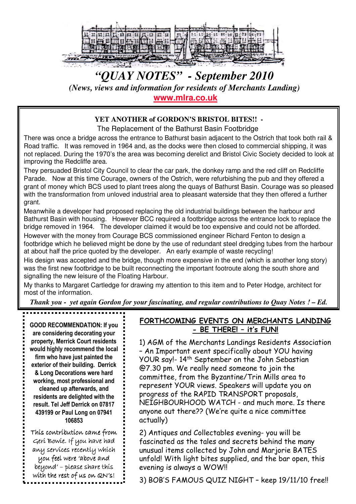

# *"QUAY NOTES" - September 2010 (News, views and information for residents of Merchants Landing)* **www.mlra.co.uk**

## **YET ANOTHER of GORDON'S BRISTOL BITES!! -**

The Replacement of the Bathurst Basin Footbridge

There was once a bridge across the entrance to Bathurst basin adjacent to the Ostrich that took both rail & Road traffic. It was removed in 1964 and, as the docks were then closed to commercial shipping, it was not replaced. During the 1970's the area was becoming derelict and Bristol Civic Society decided to look at improving the Redcliffe area.

They persuaded Bristol City Council to clear the car park, the donkey ramp and the red cliff on Redcliffe Parade. Now at this time Courage, owners of the Ostrich, were refurbishing the pub and they offered a grant of money which BCS used to plant trees along the quays of Bathurst Basin. Courage was so pleased with the transformation from unloved industrial area to pleasant waterside that they then offered a further grant.

Meanwhile a developer had proposed replacing the old industrial buildings between the harbour and Bathurst Basin with housing. However BCC required a footbridge across the entrance lock to replace the bridge removed in 1964. The developer claimed it would be too expensive and could not be afforded. However with the money from Courage BCS commissioned engineer Richard Fenton to design a

footbridge which he believed might be done by the use of redundant steel dredging tubes from the harbour at about half the price quoted by the developer. An early example of waste recycling!

His design was accepted and the bridge, though more expensive in the end (which is another long story) was the first new footbridge to be built reconnecting the important footroute along the south shore and signalling the new leisure of the Floating Harbour.

My thanks to Margaret Cartledge for drawing my attention to this item and to Peter Hodge, architect for most of the information.

*Thank you - yet again Gordon for your fascinating, and regular contributions to Quay Notes ! – Ed.*

GOOD RECOMMENDATION: If you are considering decorating your property, Merrick Court residents would highly recommend the local firm who have just painted the exterior of their building. Derrick & Long Decorations were hard working, most professional and cleaned up afterwards, and residents are delighted with the result. Tel Jeff Derrick on 07817 439199 or Paul Long on 07941 106853

This contribution came from Geri Bowie. If you have had any services recently which you feel were 'above and beyond' – please share this with the rest of us on QN's!

## FORTHCOMING EVENTS ON MERCHANTS LANDING - BE THERE! – it's FUN!

1) AGM of the Merchants Landings Residents Association – An Important event specifically about YOU having YOUR say!- 14th September on the John Sebastian @7.30 pm. We really need someone to join the committee, from the Byzantine/Trin Mills area to represent YOUR views. Speakers will update you on progress of the RAPID TRANSPORT proposals, NEIGHBOURHOOD WATCH - and much more. Is there anyone out there?? (We're quite a nice committee actually)

2) Antiques and Collectables evening- you will be fascinated as the tales and secrets behind the many unusual items collected by John and Marjorie BATES unfold! With light bites supplied, and the bar open, this evening is always a WOW!!

3) BOB'S FAMOUS QUIZ NIGHT – keep 19/11/10 free!!